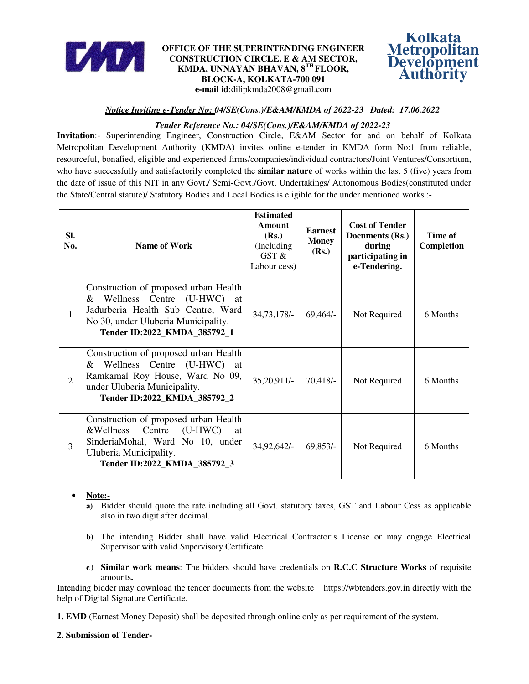

# **OFFICE OF THE SUPERINTENDING ENGINEER CONSTRUCTION CIRCLE, E & AM SECTOR, KMDA, UNNAYAN BHAVAN, 8TH FLOOR, BLOCK-A, KOLKATA-700 091 e-mail id**:dilipkmda2008@gmail.com



# *Notice Inviting e-Tender No: 04/SE(Cons.)/E&AM/KMDA of 2022-23 Dated: 17.06.2022*

# *Tender Reference No.: 04/SE(Cons.)/E&AM/KMDA of 2022-23*

**Invitation**:- Superintending Engineer, Construction Circle, E&AM Sector for and on behalf of Kolkata Metropolitan Development Authority (KMDA) invites online e-tender in KMDA form No:1 from reliable, resourceful, bonafied, eligible and experienced firms/companies/individual contractors/Joint Ventures/Consortium, who have successfully and satisfactorily completed the **similar nature** of works within the last 5 (five) years from the date of issue of this NIT in any Govt./ Semi-Govt./Govt. Undertakings/ Autonomous Bodies(constituted under the State/Central statute)/ Statutory Bodies and Local Bodies is eligible for the under mentioned works :-

| SI.<br>No.     | <b>Name of Work</b>                                                                                                                                                                | <b>Estimated</b><br>Amount<br>(Rs.)<br>(Including)<br>GST &<br>Labour cess) | <b>Earnest</b><br><b>Money</b><br>(Rs.) | <b>Cost of Tender</b><br>Documents (Rs.)<br>during<br>participating in<br>e-Tendering. | Time of<br>Completion |
|----------------|------------------------------------------------------------------------------------------------------------------------------------------------------------------------------------|-----------------------------------------------------------------------------|-----------------------------------------|----------------------------------------------------------------------------------------|-----------------------|
| 1              | Construction of proposed urban Health<br>& Wellness Centre (U-HWC) at<br>Jadurberia Health Sub Centre, Ward<br>No 30, under Uluberia Municipality.<br>Tender ID:2022 KMDA 385792 1 | $34,73,178/-$                                                               | $69,464/-$                              | Not Required                                                                           | 6 Months              |
| $\overline{2}$ | Construction of proposed urban Health<br>& Wellness Centre (U-HWC) at<br>Ramkamal Roy House, Ward No 09,<br>under Uluberia Municipality.<br>Tender ID:2022_KMDA_385792_2           | 35,20,911/-                                                                 | $70,418/-$                              | Not Required                                                                           | 6 Months              |
| 3              | Construction of proposed urban Health<br>&Wellness Centre<br>$(U-HWC)$<br>at<br>SinderiaMohal, Ward No 10, under<br>Uluberia Municipality.<br>Tender ID:2022_KMDA_385792_3         | 34,92,642/-                                                                 | $69,853/-$                              | Not Required                                                                           | 6 Months              |

# • **Note:-**

- **a)** Bidder should quote the rate including all Govt. statutory taxes, GST and Labour Cess as applicable also in two digit after decimal.
- **b)** The intending Bidder shall have valid Electrical Contractor's License or may engage Electrical Supervisor with valid Supervisory Certificate.
- **c ) Similar work means**: The bidders should have credentials on **R.C.C Structure Works** of requisite amounts**.**

Intending bidder may download the tender documents from the website https://wbtenders.gov.in directly with the help of Digital Signature Certificate.

**1. EMD** (Earnest Money Deposit) shall be deposited through online only as per requirement of the system.

### **2. Submission of Tender-**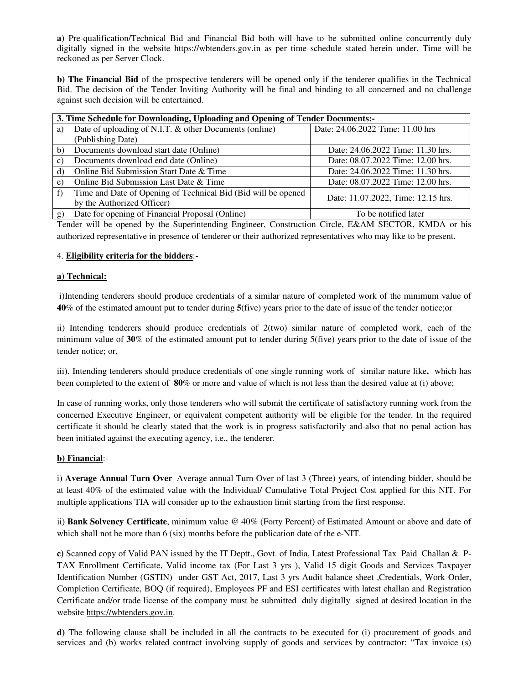**a)** Pre-qualification/Technical Bid and Financial Bid both will have to be submitted online concurrently duly digitally signed in the website https://wbtenders.gov.in as per time schedule stated herein under. Time will be reckoned as per Server Clock.

**b) The Financial Bid** of the prospective tenderers will be opened only if the tenderer qualifies in the Technical Bid. The decision of the Tender Inviting Authority will be final and binding to all concerned and no challenge against such decision will be entertained.

| 3. Time Schedule for Downloading, Uploading and Opening of Tender Documents:- |                                                               |                                    |  |  |  |
|-------------------------------------------------------------------------------|---------------------------------------------------------------|------------------------------------|--|--|--|
| a)                                                                            | Date of uploading of N.I.T. & other Documents (online)        | Date: 24.06.2022 Time: 11.00 hrs   |  |  |  |
|                                                                               | (Publishing Date)                                             |                                    |  |  |  |
| b)                                                                            | Documents download start date (Online)                        | Date: 24.06.2022 Time: 11.30 hrs.  |  |  |  |
| $\mathbf{c}$                                                                  | Documents download end date (Online)                          | Date: 08.07.2022 Time: 12.00 hrs.  |  |  |  |
| $\mathbf{d}$                                                                  | Online Bid Submission Start Date & Time                       | Date: 24.06.2022 Time: 11.30 hrs.  |  |  |  |
| $\epsilon$                                                                    | Online Bid Submission Last Date & Time                        | Date: 08.07.2022 Time: 12.00 hrs.  |  |  |  |
| f)                                                                            | Time and Date of Opening of Technical Bid (Bid will be opened | Date: 11.07.2022, Time: 12.15 hrs. |  |  |  |
|                                                                               | by the Authorized Officer)                                    |                                    |  |  |  |
| g)                                                                            | Date for opening of Financial Proposal (Online)               | To be notified later               |  |  |  |

Tender will be opened by the Superintending Engineer, Construction Circle, E&AM SECTOR, KMDA or his authorized representative in presence of tenderer or their authorized representatives who may like to be present.

## 4. **Eligibility criteria for the bidders**:-

### **a) Technical:**

 i)Intending tenderers should produce credentials of a similar nature of completed work of the minimum value of **40**% of the estimated amount put to tender during **5**(five) years prior to the date of issue of the tender notice;or

ii) Intending tenderers should produce credentials of 2(two) similar nature of completed work, each of the minimum value of **30**% of the estimated amount put to tender during 5(five) years prior to the date of issue of the tender notice; or,

iii). Intending tenderers should produce credentials of one single running work of similar nature like**,** which has been completed to the extent of **80**% or more and value of which is not less than the desired value at (i) above;

In case of running works, only those tenderers who will submit the certificate of satisfactory running work from the concerned Executive Engineer, or equivalent competent authority will be eligible for the tender. In the required certificate it should be clearly stated that the work is in progress satisfactorily and-also that no penal action has been initiated against the executing agency, i.e., the tenderer.

### **b) Financial**:-

i) **Average Annual Turn Over**–Average annual Turn Over of last 3 (Three) years, of intending bidder, should be at least 40% of the estimated value with the Individual/ Cumulative Total Project Cost applied for this NIT. For multiple applications TIA will consider up to the exhaustion limit starting from the first response.

ii) **Bank Solvency Certificate**, minimum value @ 40% (Forty Percent) of Estimated Amount or above and date of which shall not be more than  $6$  (six) months before the publication date of the e-NIT.

**c)** Scanned copy of Valid PAN issued by the IT Deptt., Govt. of India, Latest Professional Tax Paid Challan & P-TAX Enrollment Certificate, Valid income tax (For Last 3 yrs ), Valid 15 digit Goods and Services Taxpayer Identification Number (GSTIN) under GST Act, 2017, Last 3 yrs Audit balance sheet ,Credentials, Work Order, Completion Certificate, BOQ (if required), Employees PF and ESI certificates with latest challan and Registration Certificate and/or trade license of the company must be submitted duly digitally signed at desired location in the website https://wbtenders.gov.in.

**d)** The following clause shall be included in all the contracts to be executed for (i) procurement of goods and services and (b) works related contract involving supply of goods and services by contractor: "Tax invoice (s)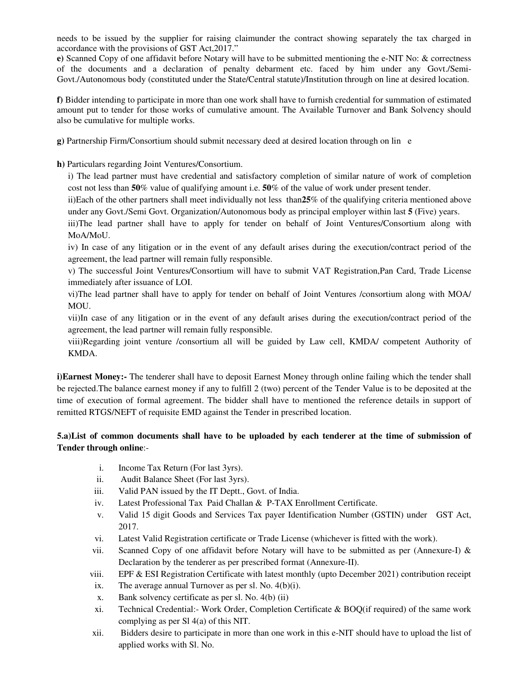needs to be issued by the supplier for raising claimunder the contract showing separately the tax charged in accordance with the provisions of GST Act,2017."

**e)** Scanned Copy of one affidavit before Notary will have to be submitted mentioning the e-NIT No: & correctness of the documents and a declaration of penalty debarment etc. faced by him under any Govt./Semi-Govt./Autonomous body (constituted under the State/Central statute)/Institution through on line at desired location.

**f)** Bidder intending to participate in more than one work shall have to furnish credential for summation of estimated amount put to tender for those works of cumulative amount. The Available Turnover and Bank Solvency should also be cumulative for multiple works.

**g)** Partnership Firm/Consortium should submit necessary deed at desired location through on lin e

**h)** Particulars regarding Joint Ventures/Consortium.

i) The lead partner must have credential and satisfactory completion of similar nature of work of completion cost not less than **50**% value of qualifying amount i.e. **50**% of the value of work under present tender.

ii)Each of the other partners shall meet individually not less than**25**% of the qualifying criteria mentioned above under any Govt./Semi Govt. Organization/Autonomous body as principal employer within last **5** (Five) years.

iii)The lead partner shall have to apply for tender on behalf of Joint Ventures/Consortium along with MoA/MoU.

iv) In case of any litigation or in the event of any default arises during the execution/contract period of the agreement, the lead partner will remain fully responsible.

v) The successful Joint Ventures/Consortium will have to submit VAT Registration,Pan Card, Trade License immediately after issuance of LOI.

vi)The lead partner shall have to apply for tender on behalf of Joint Ventures /consortium along with MOA/ MOU.

vii)In case of any litigation or in the event of any default arises during the execution/contract period of the agreement, the lead partner will remain fully responsible.

viii)Regarding joint venture /consortium all will be guided by Law cell, KMDA/ competent Authority of KMDA.

**i)Earnest Money:-** The tenderer shall have to deposit Earnest Money through online failing which the tender shall be rejected.The balance earnest money if any to fulfill 2 (two) percent of the Tender Value is to be deposited at the time of execution of formal agreement. The bidder shall have to mentioned the reference details in support of remitted RTGS/NEFT of requisite EMD against the Tender in prescribed location.

# **5.a)List of common documents shall have to be uploaded by each tenderer at the time of submission of Tender through online**:-

- i. Income Tax Return (For last 3yrs).
- ii. Audit Balance Sheet (For last 3yrs).
- iii. Valid PAN issued by the IT Deptt., Govt. of India.
- iv. Latest Professional Tax Paid Challan & P-TAX Enrollment Certificate.
- v. Valid 15 digit Goods and Services Tax payer Identification Number (GSTIN) under GST Act, 2017.
- vi. Latest Valid Registration certificate or Trade License (whichever is fitted with the work).
- vii. Scanned Copy of one affidavit before Notary will have to be submitted as per (Annexure-I) & Declaration by the tenderer as per prescribed format (Annexure-II).
- viii. EPF & ESI Registration Certificate with latest monthly (upto December 2021) contribution receipt
- ix. The average annual Turnover as per sl. No.  $4(b)(i)$ .
- x. Bank solvency certificate as per sl. No. 4(b) (ii)
- xi. Technical Credential:- Work Order, Completion Certificate & BOQ(if required) of the same work complying as per Sl 4(a) of this NIT.
- xii. Bidders desire to participate in more than one work in this e-NIT should have to upload the list of applied works with Sl. No.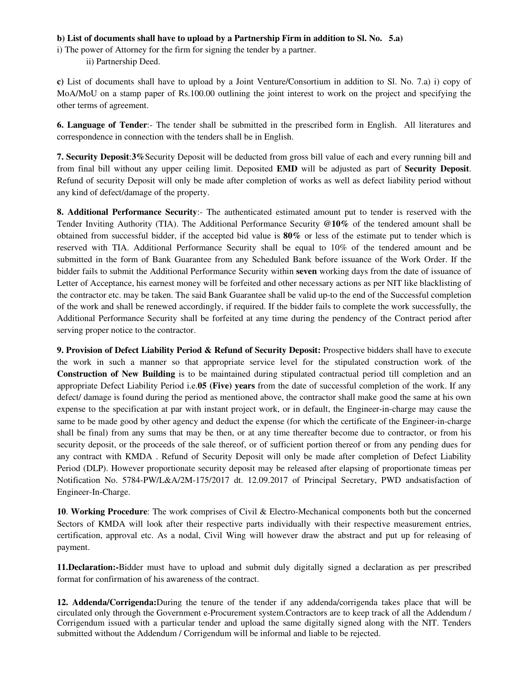## **b) List of documents shall have to upload by a Partnership Firm in addition to Sl. No. 5.a)**

i) The power of Attorney for the firm for signing the tender by a partner.

ii) Partnership Deed.

**c)** List of documents shall have to upload by a Joint Venture/Consortium in addition to Sl. No. 7.a) i) copy of MoA/MoU on a stamp paper of Rs.100.00 outlining the joint interest to work on the project and specifying the other terms of agreement.

**6. Language of Tender**:- The tender shall be submitted in the prescribed form in English. All literatures and correspondence in connection with the tenders shall be in English.

**7. Security Deposit**:**3%**Security Deposit will be deducted from gross bill value of each and every running bill and from final bill without any upper ceiling limit. Deposited **EMD** will be adjusted as part of **Security Deposit**. Refund of security Deposit will only be made after completion of works as well as defect liability period without any kind of defect/damage of the property.

**8. Additional Performance Security**:- The authenticated estimated amount put to tender is reserved with the Tender Inviting Authority (TIA). The Additional Performance Security **@10%** of the tendered amount shall be obtained from successful bidder, if the accepted bid value is **80%** or less of the estimate put to tender which is reserved with TIA. Additional Performance Security shall be equal to 10% of the tendered amount and be submitted in the form of Bank Guarantee from any Scheduled Bank before issuance of the Work Order. If the bidder fails to submit the Additional Performance Security within **seven** working days from the date of issuance of Letter of Acceptance, his earnest money will be forfeited and other necessary actions as per NIT like blacklisting of the contractor etc. may be taken. The said Bank Guarantee shall be valid up-to the end of the Successful completion of the work and shall be renewed accordingly, if required. If the bidder fails to complete the work successfully, the Additional Performance Security shall be forfeited at any time during the pendency of the Contract period after serving proper notice to the contractor.

**9. Provision of Defect Liability Period & Refund of Security Deposit:** Prospective bidders shall have to execute the work in such a manner so that appropriate service level for the stipulated construction work of the **Construction of New Building** is to be maintained during stipulated contractual period till completion and an appropriate Defect Liability Period i.e.**05 (Five) years** from the date of successful completion of the work. If any defect/ damage is found during the period as mentioned above, the contractor shall make good the same at his own expense to the specification at par with instant project work, or in default, the Engineer-in-charge may cause the same to be made good by other agency and deduct the expense (for which the certificate of the Engineer-in-charge shall be final) from any sums that may be then, or at any time thereafter become due to contractor, or from his security deposit, or the proceeds of the sale thereof, or of sufficient portion thereof or from any pending dues for any contract with KMDA . Refund of Security Deposit will only be made after completion of Defect Liability Period (DLP). However proportionate security deposit may be released after elapsing of proportionate timeas per Notification No. 5784-PW/L&A/2M-175/2017 dt. 12.09.2017 of Principal Secretary, PWD andsatisfaction of Engineer-In-Charge.

**10**. **Working Procedure**: The work comprises of Civil & Electro-Mechanical components both but the concerned Sectors of KMDA will look after their respective parts individually with their respective measurement entries, certification, approval etc. As a nodal, Civil Wing will however draw the abstract and put up for releasing of payment.

**11.Declaration:-**Bidder must have to upload and submit duly digitally signed a declaration as per prescribed format for confirmation of his awareness of the contract.

**12. Addenda/Corrigenda:**During the tenure of the tender if any addenda/corrigenda takes place that will be circulated only through the Government e-Procurement system.Contractors are to keep track of all the Addendum / Corrigendum issued with a particular tender and upload the same digitally signed along with the NIT. Tenders submitted without the Addendum / Corrigendum will be informal and liable to be rejected.